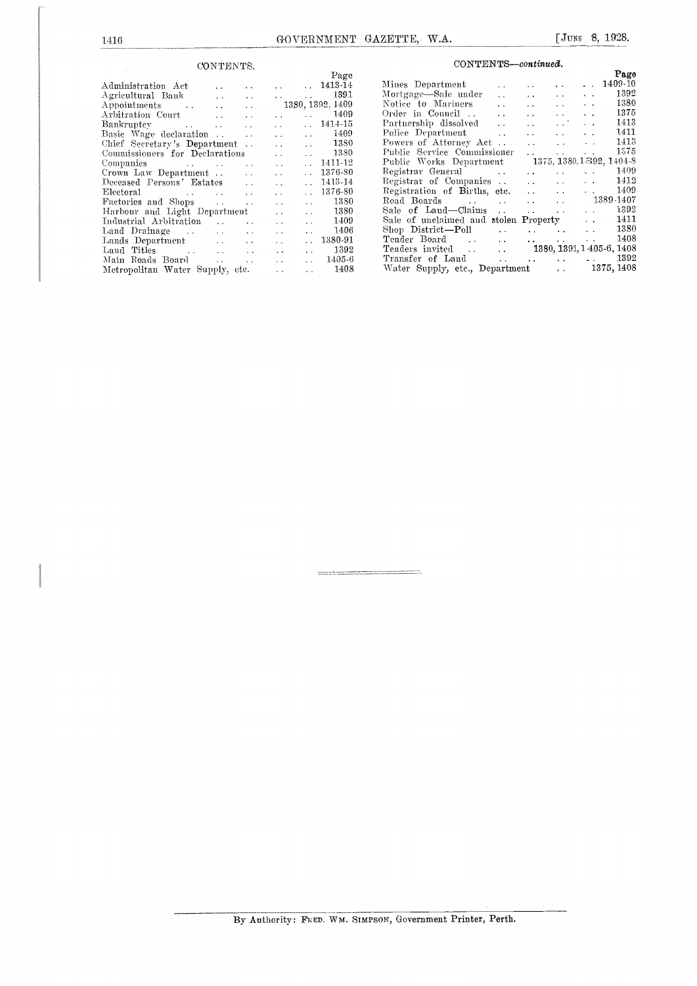## CONTENTS.

|                                         |                      |                                                           |                | Page                     |                |
|-----------------------------------------|----------------------|-----------------------------------------------------------|----------------|--------------------------|----------------|
| Administration Act<br><b>Contractor</b> |                      |                                                           |                | $\ldots$ 1413-14         | Mi             |
| Agricultural Bank                       |                      |                                                           |                | $\ldots$ 1391            | Мc             |
| Appointments 1380, 1392, 1409           |                      |                                                           |                |                          | $_{\rm No}$    |
|                                         |                      | $\mathcal{L}(\mathcal{A})$ and $\mathcal{L}(\mathcal{A})$ |                | $\ldots$ 1409            | Or             |
| Bankruptcy                              |                      | <b>Contractor</b>                                         |                | $\ldots$ 1414-15         | Pa             |
|                                         |                      | and the con-                                              |                | $\ldots$ 1409            | P <sub>0</sub> |
| Chief Secretary's Department.           |                      | <b>Alan Adam</b>                                          |                | $\ldots$ 1380            | Pо             |
| Commissioners for Declarations          |                      | $\mathbf{L}^{\mathrm{c}}$ and $\mathbf{L}^{\mathrm{c}}$   |                | $\ldots$ 1380            | Pu             |
|                                         |                      | $\mathbf{r}$ , $\mathbf{r}$ , $\mathbf{r}$                |                | $\ldots$ 1411-12         | Pu             |
| Crown Law Department                    |                      | $\mathbf{r}$ , $\mathbf{r}$ , $\mathbf{r}$ , $\mathbf{r}$ | $\sim 10^{-1}$ | 1376-80                  | Re             |
| Deceased Persons' Estates               |                      | $\sim$ $\sim$                                             | $\ddotsc$      | 1413-14                  | Re             |
| Electoral                               |                      | $\mathbf{L}$ and $\mathbf{L}$                             |                | $. 1376 - 80$            | Re             |
| Factories and Shops                     |                      | $\mathbf{z}=\mathbf{z}$ .                                 |                | $\ldots$ 1380            | Ro             |
| Harbour and Light Department            |                      | $\sim$ $\sim$                                             |                | $\ldots$ 1380            | Sa             |
| Industrial Arbitration                  | $\ddot{\phantom{a}}$ | $\sim$ $\sim$                                             |                | $\ldots$ 1409            | $S_{a}$        |
|                                         |                      | and the con-                                              |                | $\ldots$ 1406            | $\rm{Sh}$      |
|                                         |                      | <b>Contract Contract</b>                                  |                | $\ldots$ 1380-91         | Te             |
|                                         |                      |                                                           |                | $\ldots$ 1392            | Тe             |
| Main Roads Board                        |                      | <b>Allen College</b>                                      |                | $\ldots$ 1405-6          | Tт             |
| Metropolitan Water Supply, etc.         |                      |                                                           |                | 1408<br><b>Alan Adam</b> | W.             |
|                                         |                      |                                                           |                |                          |                |

| $\operatorname{CONTENTS}-continued.$ |
|--------------------------------------|
|--------------------------------------|

|                                                            |  | Page |  |
|------------------------------------------------------------|--|------|--|
|                                                            |  |      |  |
| Mortgage-Sale under    1392                                |  |      |  |
|                                                            |  |      |  |
|                                                            |  |      |  |
|                                                            |  |      |  |
|                                                            |  |      |  |
|                                                            |  |      |  |
| Public Service Commissioner   1575                         |  |      |  |
| Public Works Department 1375, 1380, 1392, 1404-8           |  |      |  |
| Registrar General Manuel Account 2009                      |  |      |  |
| Registrar of Companies 1412                                |  |      |  |
| Registration of Births, etc. 1409<br>Road Boards 1389-1407 |  |      |  |
|                                                            |  |      |  |
| Sale of Land-Claims 1392                                   |  |      |  |
| Sale of unclaimed and stolen Property 1411                 |  |      |  |
| Shop District—Poll 1380                                    |  |      |  |
|                                                            |  |      |  |
|                                                            |  |      |  |
|                                                            |  |      |  |
| Water Supply, etc., Department  1375, 1408                 |  |      |  |
|                                                            |  |      |  |

By Authority: FRED. WM. SIMPSON, Government Printer, Perth.

.<br>2001 - De Land Broadward a chi anti provincia de la filla del control de la control de la filla de la filla d<br>2001 - Alta del Carlo del Carlo de la filla de la filla de la filla de la filla de la filla de la filla de la